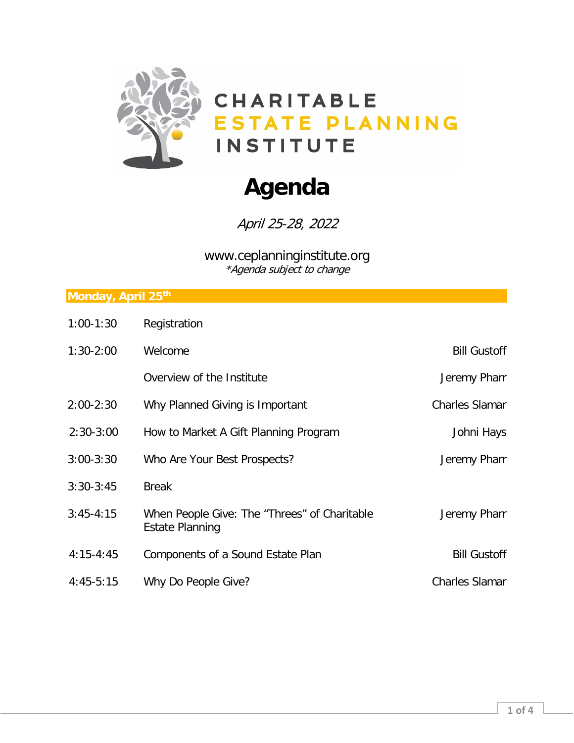

# **Agenda**

April 25-28, 2022

www.ceplanninginstitute.org \*Agenda subject to change

### **Monday, April 25th**

| $1:00-1:30$   | Registration                                                           |                       |
|---------------|------------------------------------------------------------------------|-----------------------|
| $1:30-2:00$   | Welcome                                                                | <b>Bill Gustoff</b>   |
|               | Overview of the Institute                                              | Jeremy Pharr          |
| $2:00 - 2:30$ | Why Planned Giving is Important                                        | <b>Charles Slamar</b> |
| $2:30-3:00$   | How to Market A Gift Planning Program                                  | Johni Hays            |
| $3:00 - 3:30$ | Who Are Your Best Prospects?                                           | Jeremy Pharr          |
| $3:30-3:45$   | <b>Break</b>                                                           |                       |
| $3:45-4:15$   | When People Give: The "Threes" of Charitable<br><b>Estate Planning</b> | Jeremy Pharr          |
| $4:15 - 4:45$ | Components of a Sound Estate Plan                                      | <b>Bill Gustoff</b>   |
| $4:45-5:15$   | Why Do People Give?                                                    | <b>Charles Slamar</b> |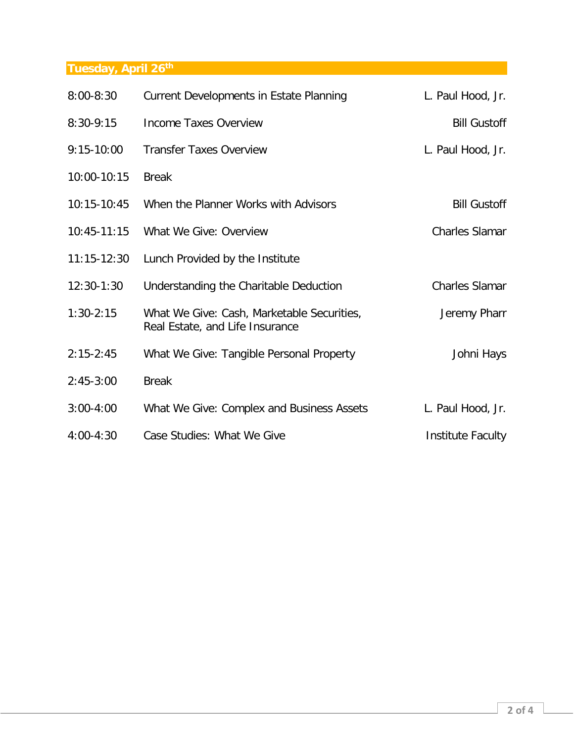## **Tuesday, April 26th**

| $8:00 - 8:30$   | Current Developments in Estate Planning                                       | L. Paul Hood, Jr.     |
|-----------------|-------------------------------------------------------------------------------|-----------------------|
| $8:30-9:15$     | <b>Income Taxes Overview</b>                                                  | <b>Bill Gustoff</b>   |
| $9:15-10:00$    | <b>Transfer Taxes Overview</b>                                                | L. Paul Hood, Jr.     |
| 10:00-10:15     | <b>Break</b>                                                                  |                       |
| 10:15-10:45     | When the Planner Works with Advisors                                          | <b>Bill Gustoff</b>   |
| $10:45 - 11:15$ | What We Give: Overview                                                        | Charles Slamar        |
| $11:15-12:30$   | Lunch Provided by the Institute                                               |                       |
| $12:30-1:30$    | Understanding the Charitable Deduction                                        | <b>Charles Slamar</b> |
| $1:30-2:15$     | What We Give: Cash, Marketable Securities,<br>Real Estate, and Life Insurance | Jeremy Pharr          |
| $2:15-2:45$     | What We Give: Tangible Personal Property                                      | Johni Hays            |
| $2:45-3:00$     | <b>Break</b>                                                                  |                       |
| $3:00 - 4:00$   | What We Give: Complex and Business Assets                                     | L. Paul Hood, Jr.     |
| $4:00 - 4:30$   | Case Studies: What We Give                                                    | Institute Faculty     |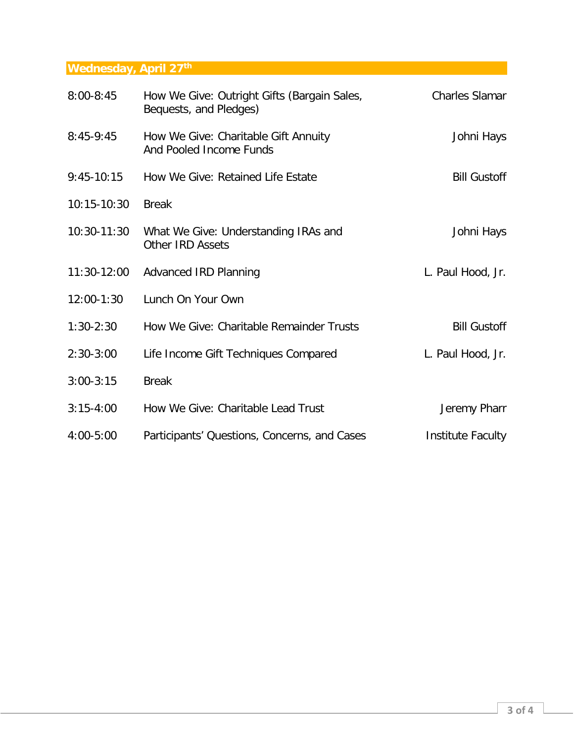## **Wednesday, April 27th**

| $8:00 - 8:45$ | How We Give: Outright Gifts (Bargain Sales,<br>Bequests, and Pledges) | <b>Charles Slamar</b> |
|---------------|-----------------------------------------------------------------------|-----------------------|
| $8:45-9:45$   | How We Give: Charitable Gift Annuity<br>And Pooled Income Funds       | Johni Hays            |
| $9:45-10:15$  | How We Give: Retained Life Estate                                     | <b>Bill Gustoff</b>   |
| 10:15-10:30   | <b>Break</b>                                                          |                       |
| 10:30-11:30   | What We Give: Understanding IRAs and<br><b>Other IRD Assets</b>       | Johni Hays            |
| $11:30-12:00$ | <b>Advanced IRD Planning</b>                                          | L. Paul Hood, Jr.     |
| 12:00-1:30    | Lunch On Your Own                                                     |                       |
| $1:30-2:30$   | How We Give: Charitable Remainder Trusts                              | <b>Bill Gustoff</b>   |
| $2:30-3:00$   | Life Income Gift Techniques Compared                                  | L. Paul Hood, Jr.     |
| $3:00-3:15$   | <b>Break</b>                                                          |                       |
| $3:15-4:00$   | How We Give: Charitable Lead Trust                                    | Jeremy Pharr          |
| 4:00-5:00     | Participants' Questions, Concerns, and Cases                          | Institute Faculty     |